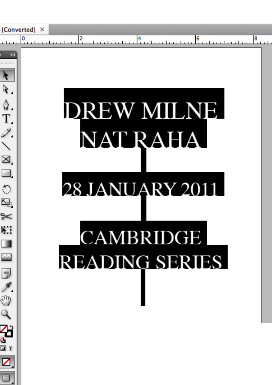|                                                                                | [Converted] × |                                                                                                             |   |
|--------------------------------------------------------------------------------|---------------|-------------------------------------------------------------------------------------------------------------|---|
|                                                                                | 0             | 2<br>6<br>4                                                                                                 | 8 |
| :::::::<br>Ą<br>R.<br>◎FA/図□○回》】□□<br><b>同人</b><br>Ö<br>$\mathcal{L}$<br>Ree E |               | <b>DREW MILNE</b><br><b>NAT RAHA</b><br><b>28 JANUARY 2011</b><br><b>CAMBRIDGE</b><br><b>READING SERIES</b> |   |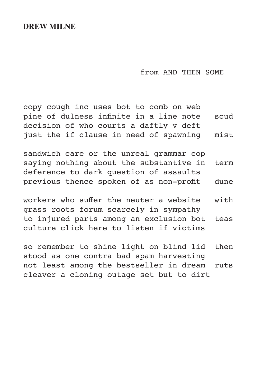### **DREW MILNE**

from AND THEN SOME

copy cough inc uses bot to comb on web pine of dulness infinite in a line note scud decision of who courts a daftly v deft just the if clause in need of spawning mist

sandwich care or the unreal grammar cop saying nothing about the substantive in term deference to dark question of assaults previous thence spoken of as non-profit dune

workers who suffer the neuter a website with grass roots forum scarcely in sympathy to injured parts among an exclusion bot teas culture click here to listen if victims

so remember to shine light on blind lid then stood as one contra bad spam harvesting not least among the bestseller in dream ruts cleaver a cloning outage set but to dirt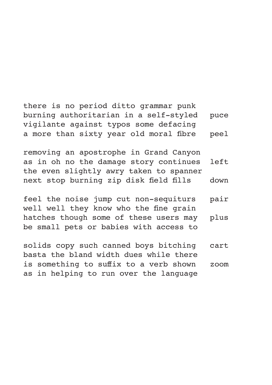there is no period ditto grammar punk burning authoritarian in a self-styled puce vigilante against typos some defacing a more than sixty year old moral fibre peel

removing an apostrophe in Grand Canyon as in oh no the damage story continues left the even slightly awry taken to spanner next stop burning zip disk field fills down

feel the noise jump cut non-sequiturs pair well well they know who the fine grain hatches though some of these users may plus be small pets or babies with access to

solids copy such canned boys bitching cart basta the bland width dues while there is something to suffix to a verb shown zoom as in helping to run over the language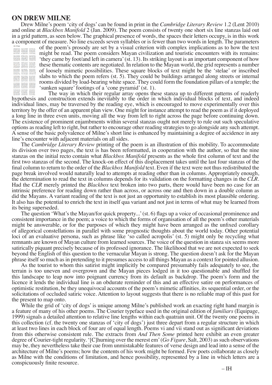#### **ON DREW MILNE**

Drew Milne's poem 'city of dogs' can be found in print in the *Cambridge Literary Review* 1.2 (Lent 2010) and online at *Blackbox Manifold* 2 (Jan. 2009). The poem consists of twenty one short six line stanzas laid out in a grid pattern, as seen below. The graphical presence of words, the spaces their letters occupy, is in this work a component of measure. No line exceeds seven syllables or is fewer than two words in length. The parameters

| city of dogs                   |                                 |                                |
|--------------------------------|---------------------------------|--------------------------------|
| hands worth framer             | was man his doug                | in the board and               |
| the motion discussed           | <b>CANADA TAX BUSINE</b>        | <b>Artis well made</b>         |
| morecin as send.               | of an exercise system           | <b>SAM BURNING</b>             |
| <b><i>VALUES MOVED THE</i></b> | News, every us solar            | as one he size                 |
| more concept stop.             | a stud a home struct            | <b><i>Pa Modiak Alana</i></b>  |
| auto line to dorive            | the remote beams                | all for the trading            |
| <b>Book the worldwin</b>       | prinade in Vation               | more around all                |
| <b>Saltimed orderfully</b>     | <b>Builded with belli</b>       | able choic and                 |
| parts built-brants             | school discovered and           | The American Scientist         |
| ther have plotting             | and the traight of              | Advise classified              |
| and and the exhal-             | increased as an increase        | and helps and con-             |
| with beatting of your          | to hailup autofuse              | an important products          |
| belic factor asguar            | small first translated          | <b>That and of a 7 and o</b>   |
| <b>Sed Book Boscare</b>        | of life emitately.              | stratively beach               |
| such a five cone               | lend water cluberal             | on her morred                  |
| <b>WE GOVE MEN</b>             | Lifting Library                 | By Brid Intellige              |
| system for dell                | before printinging              | not labour for can.            |
| blook Edward and               | <b>Merell</b> a horiz           | <b>But twistland buildeba</b>  |
| ham bet patents                | <b>Hotel Hards VHS</b>          | Audi rack, still fixe          |
| talent for the acts            | Gent Parkup                     | in the way calculation         |
| the Euritz bracket             | rated win funds.                | and becam day                  |
| distinguished and              | and it does not be to           | ends for entiting              |
| prices by the                  | <b>Bride sculpt campaign</b>    | a for lease ages.              |
| futuring he cide               | to detected expiral             | and hotten to start            |
| as adol awards.                | senio the religion              | they a vehicle the             |
| makes a chief                  | <b>Flasher Fred Earl</b>        | for major sousters:            |
| new market all                 | draws expenditure               | alaster and a                  |
| the student signals            | that and shoul looks            | har create himself.            |
| With a first and               | the best part former            | the comp conduct               |
| failer zen italis              | marks to artistical             | <b>Ned are to nature</b>       |
| where the labour.              | that came by first              | dutures services.              |
| for each seventh               | and in 8 as natures             | for further curtical           |
| Surface adviser that           | <b>Northern avents National</b> | <b>WEIGHT SAFEKEEP</b>         |
| And Kinny Work                 | the last the armour             | aradone fuse for               |
| state a correct for            | the studious work on            | white wind determined          |
| And and Ry Bran                | told torset there               | <b>NI BANKER AVE</b><br>.      |
| The shifts stan band           | Card Frida Advert               | Arriver members                |
| a back with fights             | <b>Columns cuffed</b>           | gato finn bot                  |
| shorth to probe at             | BK OH BOKER                     | of Nich striked                |
| <b>Markets Barry</b>           | to pass Sale call               | <b>South Seattle Allowance</b> |
| <b>Salison many britiser</b>   | <b>CARDINAL MODEL</b>           | be hood thank                  |

of the poem's prosody are set by a visual criterion with complex implications as to how the text might be read. The poem considers Mayan civilization and touristic encounters with its remains: 'they came by foot/and left in camera' (st. 13). Its striking layout is an important component of how these thematic contents are negotiated. In relation to the Mayan world, the grid represents a number of loosely mimetic possibilities. These square blocks of text might be the 'stelae' or inscribed slabs to which the poem refers (st. 5). They could be buildings arranged along streets or internal rooms divided by load-bearing white space. They could form the foundation pillars of a temple; the 'sunken square' footings of a 'cone pyramid' (st. 1).<br>The way in which their regular array opens these stanza up to different patterns of readerly

hypothesis and construction extends inevitably to the order in which individual blocks of text, and indeed individual lines, may be traversed by the reading eye, which is encouraged to move experimentally over this territory by the offer of an apparent plan view. One might for instance attempt to read the poem as if it deployed a long line in three even units, moving all the way from left to right across the page before continuing down. The existence of prominent enjambments within several stanzas ought not merely to rule out such speculative options as reading left to right, but rather to encourage other reading strategies to go alongside any such attempt. A sense of the basic polyvalence of Milne's short line is enhanced by maintaining a degree of accidence in any line's encounter with adjacent materials on all sides.

The *Cambridge Literary Review* printing of the poem is an illustration of this mobility. To accommodate its division over two pages, the text is has been reformatted, in cooperation with the author, so that the nine stanzas on the initial recto contain what *Blackbox Manifold* presents as the whole first column of text and the first two stanzas of the second. The knock-on effect of this displacement takes until the last four stanzas of the final column to return to the order of the *Blackbox Manifold* text. Even if the text were not thus redistributed the page break involved would naturally lead to attempts at reading other than in columns. Appropriately enough, the determination to read the text in columns depends for its validation on the formatting changes in the *CLR*. Had the *CLR* merely printed the *Blackbox* text broken into two parts, there would have been no case for an intrinsic preference for reading down rather than across, or across one and then down in a double column as did the Mayans. A variant reading of the text is not just an opportunity to establish its most plausible ordering. It also has the potential to enrich the text in itself qua variant and not just in terms of what may be learned from its being superseded.

The question 'What's the Mayan/for quick property...' (st. 6) flags up a voice of occasional prominence and consistent importance in the poem; a voice to which the forms of organisation of all the poem's other materials might be answerable, or for the purposes of which they might have been arranged as the unfixed corollary of allegorical constellations in parallel with some prognostic thoughts about the world today. Other potential loci of an evaluative persona, such as phrase like 'so called acropolis' (st. 5) might only be recycling what remnants are known of Mayan culture from learned sources. The voice of the question in stanza six seems more satirically piquant precisely because of its professed ignorance. The likelihood that we are not expected to seek beyond the English of this question to the vernacular Mayan is strong. The question doesn't ask for the Mayan phrase itself so much as in pretending to it presumes access to all things Mayan as a context for pointed allusion.

As the tourist to whom this satirist might implicitly be compared presumably fails adequately to see, the terrain is too uneven and overgrown and the Mayan pieces lodged in it too questionable and shuffled for this landscape to leap now into poignant currency from its default as backdrop. The poem's form and the licence it lends the individual line is an obdurate reminder of this and an effective satire on performances of optimistic restitution, be they unequivocal accounts of the poem's mimetic affinities, its sequential order, or the solicitations of occluded satiric voice. Attention to layout suggests that there is no reliable map of this past for the present to map onto.

While the grid of 'city of dogs' is unique among Milne's published work an exacting right hand margin is a feature of many of his other poems. The Courier typeface used in the original edition of *familiars* (Equipage, 1999) signals a detailed attention to relative line lengths within each quatrain unit. Of the twenty one poems in this collection (cf. the twenty one stanzas of 'city of dogs') just three depart from a regular structure in which at least two lines in each block of four are of equal length. Poems vi and vii stand out as significant deviations from this otherwise consistent rule. The extracts from *And Then Some* printed here exhibit an even greater degree of Courier-tight regularity. '[C]hurning over the merest em' (*Go Figure*, Salt, 2003) as such observations may be, they nevertheless take their cue from unmistakable features of verse design and lead into a sense of the architecture of Milne's poems; how the contents of his work might be formed. Few poets collaborate as closely as Milne with the conditions of limitation, and hence possibility, represented by a line in which letters are a conspicuously finite resource.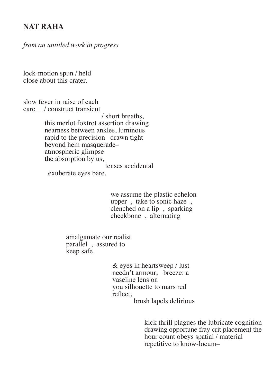## **NAT RAHA**

*from an untitled work in progress* 

lock-motion spun / held close about this crater.

slow fever in raise of each care\_\_ / construct transient

> / short breaths, this merlot foxtrot assertion drawing nearness between ankles, luminous rapid to the precision drawn tight beyond hem masquerade– atmospheric glimpse the absorption by us,

tenses accidental

exuberate eyes bare.

 we assume the plastic echelon upper , take to sonic haze , clenched on a lip , sparking cheekbone , alternating

 amalgamate our realist parallel, assured to keep safe.

> & eyes in heartsweep / lust needn't armour; breeze: a vaseline lens on you silhouette to mars red reflect, brush lapels delirious

> > kick thrill plagues the lubricate cognition drawing opportune fray crit placement the hour count obeys spatial / material repetitive to know-locum–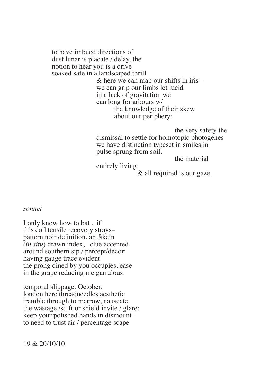to have imbued directions of dust lunar is placate / delay, the notion to hear you is a drive soaked safe in a landscaped thrill & here we can map our shifts in iris– we can grip our limbs let lucid in a lack of gravitation we can long for arbours w/ the knowledge of their skew about our periphery:

> the very safety the dismissal to settle for homotopic photogenes we have distinction typeset in smiles in pulse sprung from soil.

the material

entirely living

& all required is our gaze.

#### *sonnet*

I only know how to bat . if this coil tensile recovery strays– pattern noir definition, an ∫skein *(in situ*) drawn index, clue accented around southern sip / percept/décor; having gauge trace evident the prong dined by you occupies, ease in the grape reducing me garrulous.

temporal slippage: October, london here threadneedles aesthetic tremble through to marrow, nauseate the wastage /sq ft or shield invite / glare: keep your polished hands in dismount– to need to trust air / percentage scape

19 & 20/10/10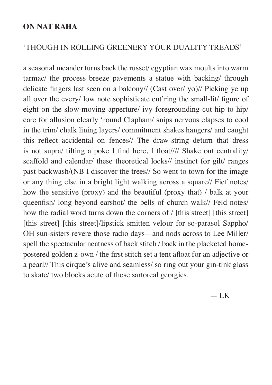## **ON NAT RAHA**

## 'THOUGH IN ROLLING GREENERY YOUR DUALITY TREADS'

a seasonal meander turns back the russet/ egyptian wax moults into warm tarmac/ the process breeze pavements a statue with backing/ through delicate fingers last seen on a balcony// (Cast over/ yo)// Picking ye up all over the every/ low note sophisticate ent'ring the small-lit/ figure of eight on the slow-moving apperture/ ivy foregrounding cut hip to hip/ care for allusion clearly 'round Clapham/ snips nervous elapses to cool in the trim/ chalk lining layers/ commitment shakes hangers/ and caught this reflect accidental on fences// The draw-string deturn that dress is not supra/ tilting a poke I find here, I float//// Shake out centrality/ scaffold and calendar/ these theoretical locks// instinct for gilt/ ranges past backwash/(NB I discover the trees// So went to town for the image or any thing else in a bright light walking across a square// Fief notes/ how the sensitive (proxy) and the beautiful (proxy that) / balk at your queenfish/ long beyond earshot/ the bells of church walk// Feld notes/ how the radial word turns down the corners of / [this street] [this street] [this street] [this street]/lipstick smitten velour for so-parasol Sappho/ OH sun-sisters revere those radio days-- and nods across to Lee Miller/ spell the spectacular neatness of back stitch / back in the placketed homepostered golden z-own / the first stitch set a tent afloat for an adjective or a pearl// This cirque's alive and seamless/ so ring out your gin-tink glass to skate/ two blocks acute of these sartoreal georgics.

 $-$  LK